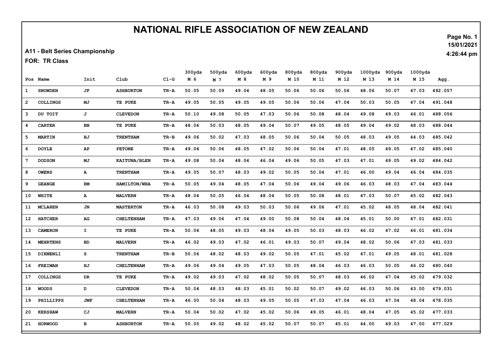## NATIONAL RIFLE ASSOCIATION OF NEW ZEALAND

A11 - Belt Series Championship

FOR: TR Class

|                |                 |               |                   |        | 300yds | 500yds | 600yds | 600yds | 800yds | 800yds | 900yds | 1000yds | 900yds | 1000yds |         |
|----------------|-----------------|---------------|-------------------|--------|--------|--------|--------|--------|--------|--------|--------|---------|--------|---------|---------|
|                | Pos Name        | Init          | Club              | $CL-G$ | M 6    | M 7    | M 8    | M 9    | M 10   | M 11   | M 12   | M 13    | M 14   | M 15    | Agg.    |
| 1              | <b>SNOWDEN</b>  | JF            | <b>ASHBURTON</b>  | TR-A   | 50.05  | 50.09  | 49.04  | 48.05  | 50.06  | 50.06  | 50.06  | 48.06   | 50.07  | 47.03   | 492.057 |
| $\overline{2}$ | <b>COLLINGS</b> | МJ            | TE PUKE           | TR-A   | 49.05  | 50.05  | 49.05  | 49.05  | 50.06  | 50.06  | 47.04  | 50.03   | 50.05  | 47.04   | 491.048 |
| 3              | DU TOIT         | J             | <b>CLEVEDON</b>   | TR-A   | 50.10  | 49.08  | 50.05  | 47.03  | 50.06  | 50.08  | 48.04  | 49.08   | 49.03  | 46.01   | 488.056 |
| 4              | <b>CARTER</b>   | BN            | TE PUKE           | TR-A   | 48.06  | 50.03  | 48.05  | 49.04  | 50.07  | 49.05  | 48.05  | 49.04   | 49.02  | 48.03   | 488.044 |
| 5              | <b>MARTIN</b>   | ВJ            | <b>TRENTHAM</b>   | TR-B   | 49.06  | 50.02  | 47.03  | 48.05  | 50.06  | 50.04  | 50.05  | 48.03   | 49.05  | 44.03   | 485.042 |
| 6              | <b>DOYLE</b>    | AP            | <b>PETONE</b>     | TR-A   | 49.04  | 50.06  | 48.05  | 47.02  | 50.06  | 50.04  | 47.01  | 48.05   | 49.05  | 47.02   | 485.040 |
| 7              | <b>DODSON</b>   | МJ            | KAITUNA/BLEN      | TR-A   | 49.08  | 50.04  | 48.04  | 46.04  | 49.06  | 50.05  | 47.03  | 47.01   | 49.05  | 49.02   | 484.042 |
| 8              | <b>OWENS</b>    | A             | <b>TRENTHAM</b>   | TR-A   | 49.05  | 50.07  | 48.03  | 49.02  | 50.05  | 50.04  | 47.01  | 46.00   | 49.04  | 46.04   | 484.035 |
| 9              | <b>GEANGE</b>   | $\mathbf{RM}$ | HAMILTON/WHA      | TR-A   | 50.05  | 49.04  | 48.05  | 47.04  | 50.06  | 49.04  | 49.06  | 46.03   | 48.03  | 47.04   | 483.044 |
| 10             | WHITE           | A             | <b>MALVERN</b>    | TR-A   | 48.04  | 50.05  | 46.04  | 48.04  | 50.05  | 50.08  | 48.01  | 47.03   | 50.07  | 45.02   | 482.043 |
| 11             | <b>MCLAREN</b>  | JN            | <b>MASTERTON</b>  | TR-A   | 46.03  | 50.08  | 49.03  | 50.03  | 50.06  | 49.06  | 47.01  | 45.02   | 48.05  | 48.04   | 482.041 |
| 12             | <b>HATCHER</b>  | AG            | <b>CHELTENHAM</b> | TR-A   | 47.03  | 49.06  | 47.04  | 49.00  | 50.08  | 50.04  | 48.04  | 45.01   | 50.00  | 47.01   | 482.031 |
| 13             | <b>CAMERON</b>  | $\mathbf{I}$  | TE PUKE           | TR-A   | 50.06  | 48.05  | 49.03  | 48.04  | 49.05  | 50.03  | 48.03  | 46.02   | 47.02  | 46.01   | 481.034 |
| 14             | <b>MEHRTENS</b> | BD            | <b>MALVERN</b>    | TR-A   | 46.02  | 49.03  | 47.02  | 46.01  | 49.03  | 50.07  | 49.04  | 48.02   | 50.06  | 47.03   | 481.033 |
| 15             | DIKMENLI        | s             | <b>TRENTHAM</b>   | TR-B   | 50.06  | 48.02  | 48.03  | 49.02  | 50.05  | 47.01  | 45.02  | 47.01   | 49.05  | 48.01   | 481.028 |
| 16             | <b>FREIMAN</b>  | ΗJ            | <b>CHELTENHAM</b> | TR-A   | 49.06  | 49.04  | 49.05  | 47.03  | 50.05  | 48.04  | 46.03  | 46.03   | 50.05  | 46.02   | 480.040 |
| 17             | <b>COLLINGS</b> | DR            | TE PUKE           | TR-A   | 49.02  | 49.03  | 47.02  | 48.02  | 50.05  | 50.07  | 48.03  | 46.02   | 47.04  | 45.02   | 479.032 |
| 18             | <b>WOODS</b>    | D             | <b>CLEVEDON</b>   | TR-A   | 50.04  | 48.03  | 48.03  | 45.01  | 50.02  | 50.07  | 49.02  | 46.03   | 50.06  | 43.00   | 479.031 |
| 19             | PHILLIPPS       | JMF           | <b>CHELTENHAM</b> | TR-A   | 46.00  | 50.04  | 48.03  | 49.05  | 50.05  | 47.03  | 47.04  | 46.03   | 47.04  | 48.04   | 478.035 |
|                | 20 KERSHAW      | CJ            | <b>MALVERN</b>    | TR-A   | 50.04  | 50.02  | 47.02  | 45.02  | 50.06  | 49.05  | 46.01  | 48.04   | 47.05  | 45.02   | 477.033 |
| 21             | <b>HORWOOD</b>  | в             | <b>ASHBURTON</b>  | TR-A   | 50.05  | 49.02  | 48.02  | 45.02  | 50.07  | 50.07  | 45.01  | 44.00   | 49.03  | 47.00   | 477.029 |

Page No. 1 15/01/2021

4:26:44 pm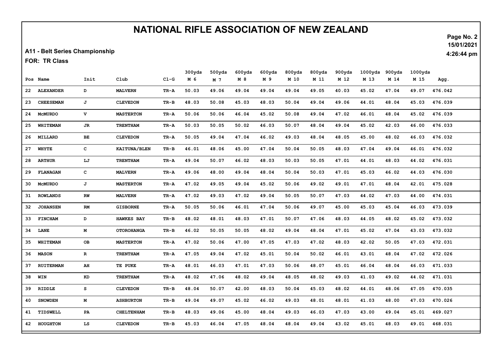## NATIONAL RIFLE ASSOCIATION OF NEW ZEALAND

A11 - Belt Series Championship

FOR: TR Class

|    |                  |              |                   |        | 300yds | 500yds | 600yds | 600yds | 800yds | 800yds | 900yds | 1000yds | 900yds | 1000yds |         |
|----|------------------|--------------|-------------------|--------|--------|--------|--------|--------|--------|--------|--------|---------|--------|---------|---------|
|    | Pos Name         | Init         | Club              | $C1-G$ | M 6    | M 7    | M 8    | M 9    | M 10   | M 11   | M 12   | M 13    | M 14   | M 15    | Agg.    |
| 22 | <b>ALEXANDER</b> | D            | <b>MALVERN</b>    | TR-A   | 50.03  | 49.06  | 49.04  | 49.04  | 49.04  | 49.05  | 40.03  | 45.02   | 47.04  | 49.07   | 476.042 |
| 23 | <b>CHEESEMAN</b> | J            | <b>CLEVEDON</b>   | TR-B   | 48.03  | 50.08  | 45.03  | 48.03  | 50.04  | 49.04  | 49.06  | 44.01   | 48.04  | 45.03   | 476.039 |
| 24 | <b>MCMURDO</b>   | v            | <b>MASTERTON</b>  | TR-A   | 50.06  | 50.06  | 46.04  | 45.02  | 50.08  | 49.04  | 47.02  | 46.01   | 48.04  | 45.02   | 476.039 |
| 25 | WHITEMAN         | JR           | <b>TRENTHAM</b>   | TR-A   | 50.03  | 50.05  | 50.02  | 46.03  | 50.07  | 48.04  | 49.04  | 45.02   | 42.03  | 46.00   | 476.033 |
|    | 26 MILLARD       | ВE           | <b>CLEVEDON</b>   | TR-A   | 50.05  | 49.04  | 47.04  | 46.02  | 49.03  | 48.04  | 48.05  | 45.00   | 48.02  | 46.03   | 476.032 |
| 27 | <b>WHYTE</b>     | $\mathbf{C}$ | KAITUNA/BLEN      | TR-B   | 46.01  | 48.06  | 45.00  | 47.04  | 50.04  | 50.05  | 48.03  | 47.04   | 49.04  | 46.01   | 476.032 |
| 28 | <b>ARTHUR</b>    | LJ           | <b>TRENTHAM</b>   | TR-A   | 49.04  | 50.07  | 46.02  | 48.03  | 50.03  | 50.05  | 47.01  | 44.01   | 48.03  | 44.02   | 476.031 |
| 29 | <b>FLANAGAN</b>  | $\mathbf{C}$ | <b>MALVERN</b>    | TR-A   | 49.06  | 48.00  | 49.04  | 48.04  | 50.04  | 50.03  | 47.01  | 45.03   | 46.02  | 44.03   | 476.030 |
| 30 | <b>MCMURDO</b>   | J            | <b>MASTERTON</b>  | TR-A   | 47.02  | 49.05  | 49.04  | 45.02  | 50.06  | 49.02  | 49.01  | 47.01   | 48.04  | 42.01   | 475.028 |
| 31 | <b>ROWLANDS</b>  | ${\bf RW}$   | <b>MALVERN</b>    | TR-A   | 47.02  | 49.03  | 47.02  | 49.04  | 50.05  | 50.07  | 47.03  | 44.02   | 47.03  | 44.00   | 474.031 |
| 32 | <b>JOHANSEN</b>  | RM           | <b>GISBORNE</b>   | TR-A   | 50.05  | 50.06  | 46.01  | 47.04  | 50.06  | 49.07  | 45.00  | 45.03   | 45.04  | 46.03   | 473.039 |
|    | 33 FINCHAM       | D            | <b>HAWKES BAY</b> | TR-B   | 48.02  | 48.01  | 48.03  | 47.01  | 50.07  | 47.06  | 48.03  | 44.05   | 48.02  | 45.02   | 473.032 |
| 34 | <b>LANE</b>      | М            | <b>OTOROHANGA</b> | TR-B   | 46.02  | 50.05  | 50.05  | 48.02  | 49.04  | 48.04  | 47.01  | 45.02   | 47.04  | 43.03   | 473.032 |
| 35 | WHITEMAN         | OВ           | <b>MASTERTON</b>  | TR-A   | 47.02  | 50.06  | 47.00  | 47.05  | 47.03  | 47.02  | 48.03  | 42.02   | 50.05  | 47.03   | 472.031 |
| 36 | <b>MASON</b>     | $\mathbf R$  | <b>TRENTHAM</b>   | TR-A   | 47.05  | 49.04  | 47.02  | 45.01  | 50.04  | 50.02  | 46.01  | 43.01   | 48.04  | 47.02   | 472.026 |
| 37 | <b>RUITERMAN</b> | AH           | TE PUKE           | TR-A   | 48.01  | 46.03  | 47.01  | 47.03  | 50.06  | 48.07  | 45.01  | 46.04   | 48.04  | 46.03   | 471.033 |
| 38 | WIN              | KD           | <b>TRENTHAM</b>   | TR-A   | 48.02  | 47.06  | 48.02  | 49.04  | 48.05  | 48.02  | 49.03  | 41.03   | 49.02  | 44.02   | 471.031 |
| 39 | RIDDLE           | s            | <b>CLEVEDON</b>   | TR-B   | 48.04  | 50.07  | 42.00  | 48.03  | 50.04  | 45.03  | 48.02  | 44.01   | 48.06  | 47.05   | 470.035 |
| 40 | <b>SNOWDEN</b>   | М            | <b>ASHBURTON</b>  | TR-B   | 49.04  | 49.07  | 45.02  | 46.02  | 49.03  | 48.01  | 48.01  | 41.03   | 48.00  | 47.03   | 470.026 |
| 41 | TIDSWELL         | PA           | <b>CHELTENHAM</b> | TR-B   | 48.03  | 49.06  | 45.00  | 48.04  | 49.03  | 46.03  | 47.03  | 43.00   | 49.04  | 45.01   | 469.027 |
| 42 | <b>HOUGHTON</b>  | LS           | <b>CLEVEDON</b>   | TR-B   | 45.03  | 46.04  | 47.05  | 48.04  | 48.04  | 49.04  | 43.02  | 45.01   | 48.03  | 49.01   | 468.031 |

Page No. 2 15/01/2021

4:26:44 pm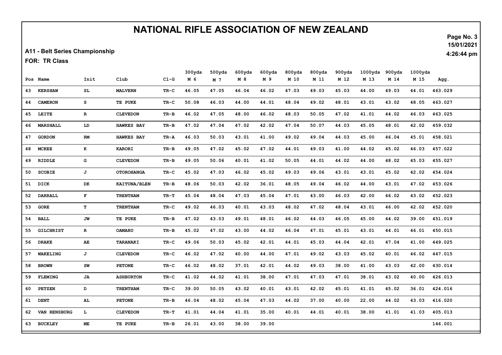## NATIONAL RIFLE ASSOCIATION OF NEW ZEALAND

A11 - Belt Series Championship

FOR: TR Class

|    |                  |              |                   |        | 300yds | 500yds | 600yds | 600yds | 800yds | 800yds | 900yds | 1000yds | 900yds | 1000yds |         |
|----|------------------|--------------|-------------------|--------|--------|--------|--------|--------|--------|--------|--------|---------|--------|---------|---------|
|    | Pos Name         | Init         | C1ub              | $C1-G$ | M 6    | M 7    | M 8    | M 9    | M 10   | M 11   | M 12   | M 13    | M 14   | M 15    | Agg.    |
| 43 | <b>KERSHAW</b>   | SL           | <b>MALVERN</b>    | TR-C   | 46.05  | 47.05  | 46.04  | 46.02  | 47.03  | 49.03  | 45.03  | 44.00   | 49.03  | 44.01   | 463.029 |
| 44 | <b>CAMERON</b>   | s            | TE PUKE           | TR-C   | 50.08  | 46.03  | 44.00  | 44.01  | 48.04  | 49.02  | 48.01  | 43.01   | 43.02  | 48.05   | 463.027 |
| 45 | LEITE            | $\mathbf{R}$ | <b>CLEVEDON</b>   | TR-B   | 46.02  | 47.05  | 48.00  | 46.02  | 48.03  | 50.05  | 47.02  | 41.01   | 44.02  | 46.03   | 463.025 |
| 46 | <b>MARSHALL</b>  | LD           | <b>HAWKES BAY</b> | TR-B   | 47.02  | 47.04  | 47.02  | 42.02  | 47.04  | 50.07  | 44.03  | 45.05   | 48.01  | 42.02   | 459.032 |
| 47 | <b>GORDON</b>    | RM           | <b>HAWKES BAY</b> | TR-A   | 46.03  | 50.03  | 43.01  | 41.00  | 49.02  | 49.04  | 44.03  | 45.00   | 46.04  | 45.01   | 458.021 |
| 48 | <b>MCKEE</b>     | $\bf K$      | <b>KARORI</b>     | TR-B   | 49.05  | 47.02  | 45.02  | 47.02  | 44.01  | 49.03  | 41.00  | 44.02   | 45.02  | 46.03   | 457.022 |
| 49 | RIDDLE           | G            | <b>CLEVEDON</b>   | TR-B   | 49.05  | 50.06  | 40.01  | 41.02  | 50.05  | 44.01  | 44.02  | 44.00   | 48.02  | 45.03   | 455.027 |
| 50 | <b>SCOBIE</b>    | J            | <b>OTOROHANGA</b> | TR-C   | 45.02  | 47.03  | 46.02  | 45.02  | 49.03  | 49.06  | 43.01  | 43.01   | 45.02  | 42.02   | 454.024 |
| 51 | <b>DICK</b>      | DK           | KAITUNA/BLEN      | TR-B   | 48.06  | 50.03  | 42.02  | 36.01  | 48.05  | 49.04  | 46.02  | 44.00   | 43.01  | 47.02   | 453.026 |
| 52 | <b>DARRALL</b>   | F            | <b>TRENTHAM</b>   | TR-T   | 45.04  | 48.04  | 47.03  | 45.04  | 47.01  | 43.00  | 46.03  | 42.00   | 46.02  | 43.02   | 452.023 |
| 53 | <b>GORE</b>      | T            | <b>TRENTHAM</b>   | TR-C   | 49.02  | 46.03  | 40.01  | 43.03  | 48.02  | 47.02  | 48.04  | 43.01   | 46.00  | 42.02   | 452.020 |
| 54 | <b>BALL</b>      | JW           | TE PUKE           | TR-B   | 47.02  | 43.03  | 49.01  | 48.01  | 46.02  | 44.03  | 46.05  | 45.00   | 44.02  | 39.00   | 451.019 |
| 55 | <b>GILCHRIST</b> | $\mathbf R$  | <b>OAMARU</b>     | TR-B   | 45.02  | 47.02  | 43.00  | 44.02  | 46.04  | 47.01  | 45.01  | 43.01   | 44.01  | 46.01   | 450.015 |
| 56 | <b>DRAKE</b>     | AE           | TARANAKI          | TR-C   | 49.06  | 50.03  | 45.02  | 42.01  | 44.01  | 45.03  | 44.04  | 42.01   | 47.04  | 41.00   | 449.025 |
| 57 | WAKELING         | J            | <b>CLEVEDON</b>   | TR-C   | 46.02  | 47.02  | 40.00  | 44.00  | 47.01  | 49.02  | 43.03  | 45.02   | 40.01  | 46.02   | 447.015 |
| 58 | <b>BROWN</b>     | SW           | <b>PETONE</b>     | TR-C   | 46.02  | 48.02  | 37.01  | 42.01  | 44.02  | 49.03  | 38.00  | 41.00   | 43.03  | 42.00   | 430.014 |
| 59 | <b>FLEMING</b>   | JA           | <b>ASHBURTON</b>  | TR-C   | 41.02  | 44.02  | 41.01  | 38.00  | 47.01  | 47.03  | 47.01  | 38.01   | 43.02  | 40.00   | 426.013 |
| 60 | <b>PETZEN</b>    | D            | <b>TRENTHAM</b>   | TR-C   | 39.00  | 50.05  | 43.02  | 40.01  | 43.01  | 42.02  | 45.01  | 41.01   | 45.02  | 36.01   | 424.016 |
| 61 | DENT             | AL.          | <b>PETONE</b>     | TR-B   | 46.04  | 48.02  | 45.04  | 47.03  | 44.02  | 37.00  | 40.00  | 22.00   | 44.02  | 43.03   | 416.020 |
| 62 | VAN RENSBURG     | $\mathbf L$  | <b>CLEVEDON</b>   | TR-T   | 41.01  | 44.04  | 41.01  | 35.00  | 40.01  | 44.01  | 40.01  | 38.00   | 41.01  | 41.03   | 405.013 |
| 63 | <b>BUCKLEY</b>   | MЕ.          | TE PUKE           | TR-B   | 26.01  | 43.00  | 38.00  | 39.00  |        |        |        |         |        |         | 146.001 |

Page No. 3 15/01/2021

4:26:44 pm